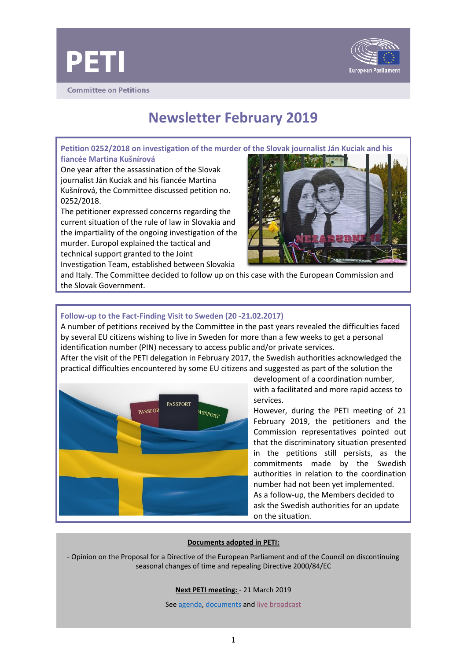



**Committee on Petitions** 

# **Newsletter February 2019**

**Petition 0252/2018 on investigation of the murder of the Slovak journalist Ján Kuciak and his fiancée Martina Kušnírová** 

One year after the assassination of the Slovak journalist Ján Kuciak and his fiancée Martina Kušnírová, the Committee discussed petition no. 0252/2018.

The petitioner expressed concerns regarding the current situation of the rule of law in Slovakia and the impartiality of the ongoing investigation of the murder. Europol explained the tactical and technical support granted to the Joint Investigation Team, established between Slovakia

and Italy. The Committee decided to follow up on this case with the European Commission and the Slovak Government.

# **Follow-up to the Fact-Finding Visit to Sweden (20 -21.02.2017)**

A number of petitions received by the Committee in the past years revealed the difficulties faced by several EU citizens wishing to live in Sweden for more than a few weeks to get a personal identification number (PIN) necessary to access public and/or private services.

After the visit of the PETI delegation in February 2017, the Swedish authorities acknowledged the practical difficulties encountered by some EU citizens and suggested as part of the solution the



development of a coordination number, with a facilitated and more rapid access to services.

However, during the PETI meeting of 21 February 2019, the petitioners and the Commission representatives pointed out that the discriminatory situation presented in the petitions still persists, as the commitments made by the Swedish authorities in relation to the coordination number had not been yet implemented. As a follow-up, the Members decided to ask the Swedish authorities for an update on the situation.

### **Documents adopted in PETI:**

- Opinion on the Proposal for a Directive of the European Parliament and of the Council on discontinuing seasonal changes of time and repealing Directive 2000/84/EC

### **Next PETI meeting:** - 21 March 2019

See [agenda, documents](http://www.emeeting.europarl.europa.eu/committees/archives/201511/PETI) an[d live broadcast](http://www.europarl.europa.eu/ep-live/en/committees/?legislature=8&start-date=01-07-2014&end-date=26-02-2019&committee=PETI)